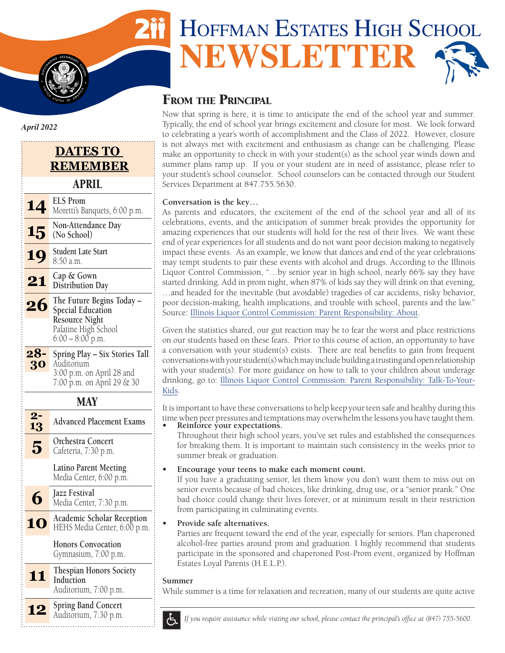# HOFFMAN ESTATES HIGH SCHOOL **NEWSLETTER**

# FROM THE PRINCIPAL

Now that spring is here, it is time to anticipate the end of the school year and summer. Typically, the end of school year brings excitement and closure for most. We look forward to celebrating a year's worth of accomplishment and the Class of 2022. However, closure is not always met with excitement and enthusiasm as change can be challenging. Please make an opportunity to check in with your student(s) as the school year winds down and summer plans ramp up. If you or your student are in need of assistance, please refer to your student's school counselor. School counselors can be contacted through our Student Services Department at 847.755.5630.

#### **Conversation is the key…**

As parents and educators, the excitement of the end of the school year and all of its celebrations, events, and the anticipation of summer break provides the opportunity for amazing experiences that our students will hold for the rest of their lives. We want these end of year experiences for all students and do not want poor decision making to negatively impact these events. As an example, we know that dances and end of the year celebrations may tempt students to pair these events with alcohol and drugs. According to the Illinois Liquor Control Commission, "…by senior year in high school, nearly 66% say they have started drinking. Add in prom night, when 87% of kids say they will drink on that evening, …and headed for the inevitable (but avoidable) tragedies of car accidents, risky behavior, poor decision-making, health implications, and trouble with school, parents and the law." Source: [Illinois Liquor Control Commission: Parent Responsibility: About.](https://www2.illinois.gov/ilcc/Education/Pages/Parental-Responsibility/About.aspx)

Given the statistics shared, our gut reaction may be to fear the worst and place restrictions on our students based on these fears. Prior to this course of action, an opportunity to have a conversation with your student(s) exists. There are real benefits to gain from frequent conversations with your student(s) which may include building a trusting and open relationship with your student(s). For more guidance on how to talk to your children about underage [drinking, go to: Illinois Liquor Control Commission: Parent Responsibility: Talk-To-Your-](https://www2.illinois.gov/ilcc/education/pages/parental-responsibility/talk-to-your-kids.aspx)Kids.

It is important to have these conversations to help keep your teen safe and healthy during this time when peer pressures and temptations may overwhelm the lessons you have taught them.

**• Reinforce your expectations.** Throughout their high school years, you've set rules and established the consequences for breaking them. It is important to maintain such consistency in the weeks prior to summer break or graduation.

#### **• Encourage your teens to make each moment count.**

If you have a graduating senior, let them know you don't want them to miss out on senior events because of bad choices, like drinking, drug use, or a "senior prank." One bad choice could change their lives forever, or at minimum result in their restriction from participating in culminating events.

#### **• Provide safe alternatives.**

Parties are frequent toward the end of the year, especially for seniors. Plan chaperoned alcohol-free parties around prom and graduation. I highly recommend that students participate in the sponsored and chaperoned Post-Prom event, organized by Hoffman Estates Loyal Parents (H.E.L.P.).

#### **Summer**

While summer is a time for relaxation and recreation, many of our students are quite active



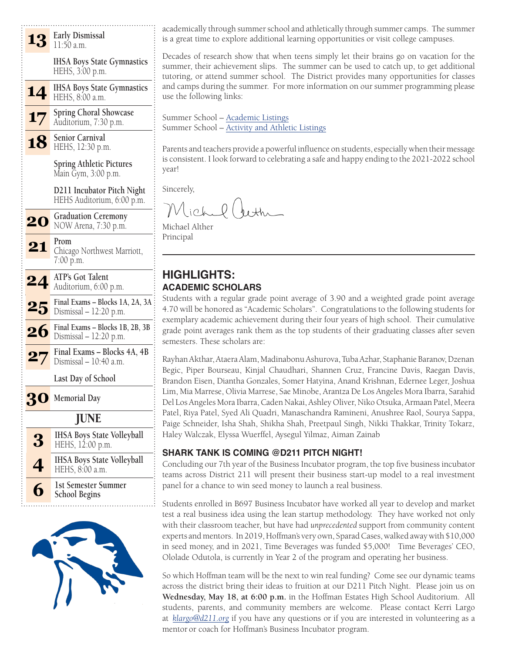



academically through summer school and athletically through summer camps. The summer is a great time to explore additional learning opportunities or visit college campuses.

Decades of research show that when teens simply let their brains go on vacation for the summer, their achievement slips. The summer can be used to catch up, to get additional tutoring, or attend summer school. The District provides many opportunities for classes and camps during the summer. For more information on our summer programming please use the following links:

Summer School – [Academic Listings](https://adc.d211.org/Page/7658) Summer School – [Activity and Athletic Listings](https://adc.d211.org/cms/lib/IL49000007/Centricity/Domain/4794/2022%20HEHS%20Athletic%20Activity.pdf)

Parents and teachers provide a powerful influence on students, especially when their message is consistent. I look forward to celebrating a safe and happy ending to the 2021-2022 school year!

Sincerely,

lichel beth

Michael Alther Principal

### **HIGHLIGHTS: ACADEMIC SCHOLARS**

Students with a regular grade point average of 3.90 and a weighted grade point average 4.70 will be honored as "Academic Scholars". Congratulations to the following students for exemplary academic achievement during their four years of high school. Their cumulative grade point averages rank them as the top students of their graduating classes after seven semesters. These scholars are:

Rayhan Akthar, Ataera Alam, Madinabonu Ashurova, Tuba Azhar, Staphanie Baranov, Dzenan Begic, Piper Bourseau, Kinjal Chaudhari, Shannen Cruz, Francine Davis, Raegan Davis, Brandon Eisen, Diantha Gonzales, Somer Hatyina, Anand Krishnan, Edernee Leger, Joshua Lim, Mia Marrese, Olivia Marrese, Sae Minobe, Arantza De Los Angeles Mora Ibarra, Sarahid Del Los Angeles Mora Ibarra, Caden Nakai, Ashley Oliver, Niko Otsuka, Armaan Patel, Meera Patel, Riya Patel, Syed Ali Quadri, Manaschandra Ramineni, Anushree Raol, Sourya Sappa, Paige Schneider, Isha Shah, Shikha Shah, Preetpaul Singh, Nikki Thakkar, Trinity Tokarz, Haley Walczak, Elyssa Wuerffel, Aysegul Yilmaz, Aiman Zainab

#### **SHARK TANK IS COMING @D211 PITCH NIGHT!**

Concluding our 7th year of the Business Incubator program, the top five business incubator teams across District 211 will present their business start-up model to a real investment panel for a chance to win seed money to launch a real business.

Students enrolled in B697 Business Incubator have worked all year to develop and market test a real business idea using the lean startup methodology. They have worked not only with their classroom teacher, but have had *unprecedented* support from community content experts and mentors. In 2019, Hoffman's very own, Sparad Cases, walked away with \$10,000 in seed money, and in 2021, Time Beverages was funded \$5,000! Time Beverages' CEO, Ololade Odutola, is currently in Year 2 of the program and operating her business.

So which Hoffman team will be the next to win real funding? Come see our dynamic teams across the district bring their ideas to fruition at our D211 Pitch Night. Please join us on **Wednesday, May 18, at 6:00 p.m.** in the Hoffman Estates High School Auditorium. All students, parents, and community members are welcome. Please contact Kerri Largo at *[klargo@d211.org](mailto:klargo%40d211.org?subject=)* if you have any questions or if you are interested in volunteering as a mentor or coach for Hoffman's Business Incubator program.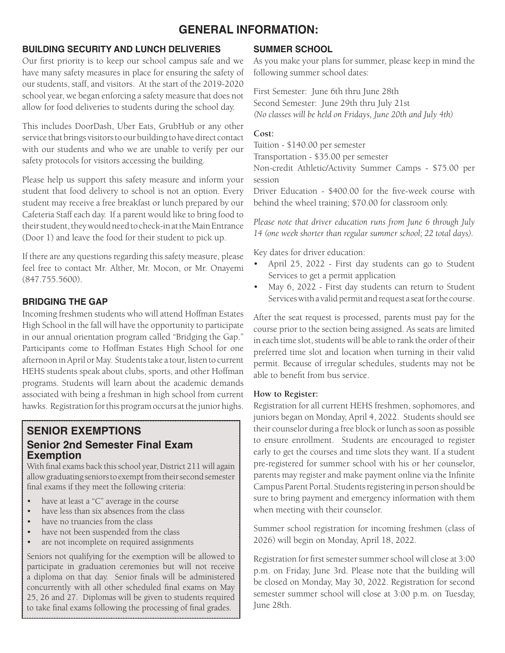# **GENERAL INFORMATION:**

#### **BUILDING SECURITY AND LUNCH DELIVERIES**

Our first priority is to keep our school campus safe and we have many safety measures in place for ensuring the safety of our students, staff, and visitors. At the start of the 2019-2020 school year, we began enforcing a safety measure that does not allow for food deliveries to students during the school day.

This includes DoorDash, Uber Eats, GrubHub or any other service that brings visitors to our building to have direct contact with our students and who we are unable to verify per our safety protocols for visitors accessing the building.

Please help us support this safety measure and inform your student that food delivery to school is not an option. Every student may receive a free breakfast or lunch prepared by our Cafeteria Staff each day. If a parent would like to bring food to their student, they would need to check-in at the Main Entrance (Door 1) and leave the food for their student to pick up.

If there are any questions regarding this safety measure, please feel free to contact Mr. Alther, Mr. Mocon, or Mr. Onayemi (847.755.5600).

#### **BRIDGING THE GAP**

Incoming freshmen students who will attend Hoffman Estates High School in the fall will have the opportunity to participate in our annual orientation program called "Bridging the Gap." Participants come to Hoffman Estates High School for one afternoon in April or May. Students take a tour, listen to current HEHS students speak about clubs, sports, and other Hoffman programs. Students will learn about the academic demands associated with being a freshman in high school from current hawks. Registration for this program occurs at the junior highs.

# **SENIOR EXEMPTIONS Senior 2nd Semester Final Exam Exemption**

With final exams back this school year, District 211 will again allow graduating seniors to exempt from their second semester final exams if they meet the following criteria:

- have at least a " $C$ " average in the course
- have less than six absences from the class
- have no truancies from the class
- have not been suspended from the class
- are not incomplete on required assignments

Seniors not qualifying for the exemption will be allowed to participate in graduation ceremonies but will not receive a diploma on that day. Senior finals will be administered concurrently with all other scheduled final exams on May 25, 26 and 27. Diplomas will be given to students required to take final exams following the processing of final grades.

#### **SUMMER SCHOOL**

As you make your plans for summer, please keep in mind the following summer school dates:

First Semester: June 6th thru June 28th Second Semester: June 29th thru July 21st *(No classes will be held on Fridays, June 20th and July 4th)*

#### **Cost:**

Tuition - \$140.00 per semester Transportation - \$35.00 per semester Non-credit Athletic/Activity Summer Camps - \$75.00 per

session Driver Education - \$400.00 for the five-week course with behind the wheel training; \$70.00 for classroom only.

*Please note that driver education runs from June 6 through July 14 (one week shorter than regular summer school; 22 total days).* 

Key dates for driver education:

- April 25, 2022 First day students can go to Student Services to get a permit application
- May 6, 2022 First day students can return to Student Services with a valid permit and request a seat for the course.

After the seat request is processed, parents must pay for the course prior to the section being assigned. As seats are limited in each time slot, students will be able to rank the order of their preferred time slot and location when turning in their valid permit. Because of irregular schedules, students may not be able to benefit from bus service.

#### **How to Register:**

Registration for all current HEHS freshmen, sophomores, and juniors began on Monday, April 4, 2022. Students should see their counselor during a free block or lunch as soon as possible to ensure enrollment. Students are encouraged to register early to get the courses and time slots they want. If a student pre-registered for summer school with his or her counselor, parents may register and make payment online via the Infinite Campus Parent Portal. Students registering in person should be sure to bring payment and emergency information with them when meeting with their counselor.

Summer school registration for incoming freshmen (class of 2026) will begin on Monday, April 18, 2022.

Registration for first semester summer school will close at 3:00 p.m. on Friday, June 3rd. Please note that the building will be closed on Monday, May 30, 2022. Registration for second semester summer school will close at 3:00 p.m. on Tuesday, June 28th.